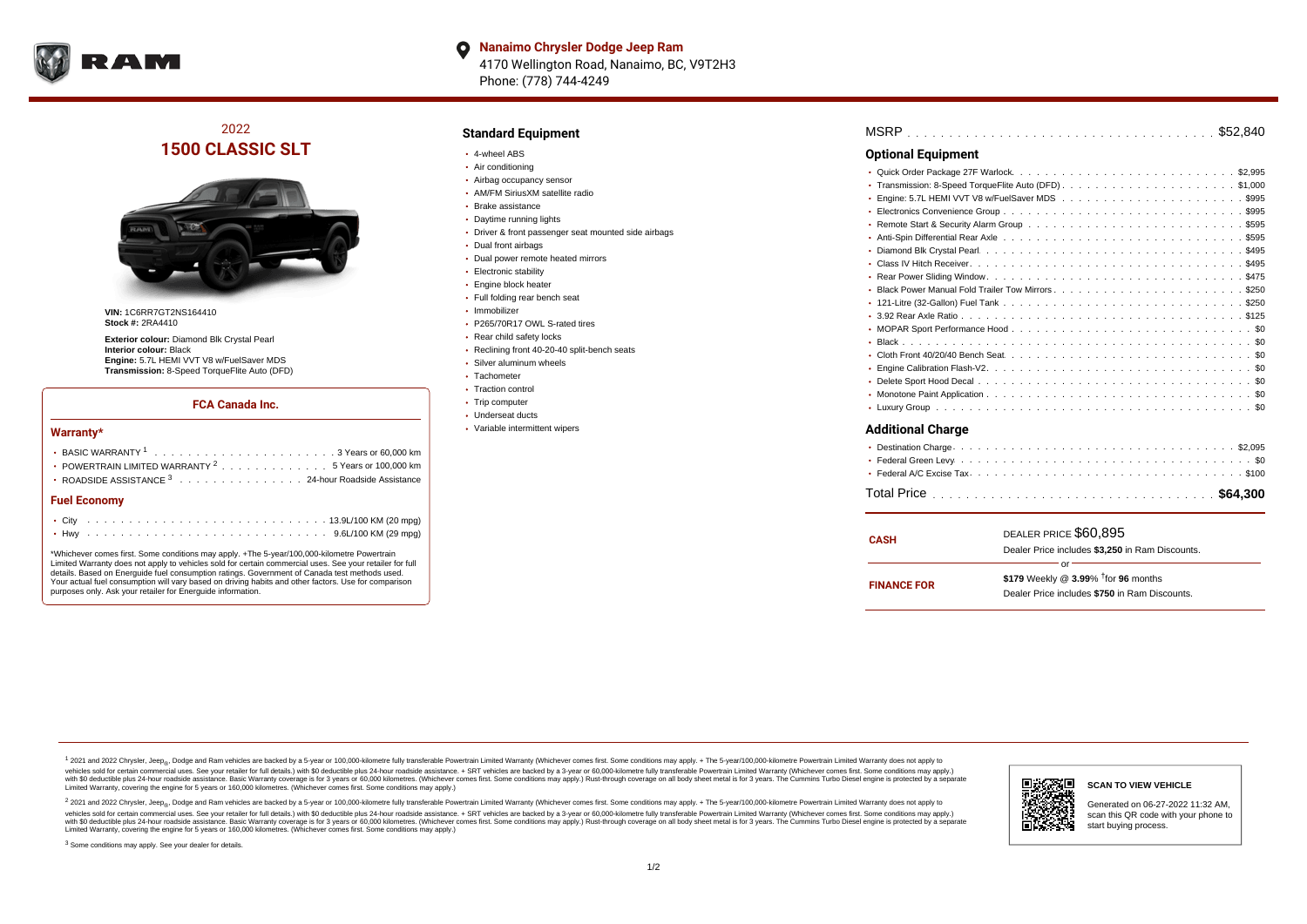

**Nanaimo Chrysler Dodge Jeep Ram**  $\bullet$ 4170 Wellington Road, Nanaimo, BC, V9T2H3 Phone: (778) 744-4249

2022 **1500 CLASSIC SLT**



**VIN:** 1C6RR7GT2NS164410 **Stock #:** 2RA4410

**Exterior colour:** Diamond Blk Crystal Pearl **Interior colour:** Black **Engine:** 5.7L HEMI VVT V8 w/FuelSaver MDS **Transmission:** 8-Speed TorqueFlite Auto (DFD)

#### **FCA Canada Inc.**

#### **Warranty\***

| • POWERTRAIN LIMITED WARRANTY <sup>2</sup> 5 Years or 100,000 km |  |  |  |  |  |  |  |  |  |  |  |  |  |  |
|------------------------------------------------------------------|--|--|--|--|--|--|--|--|--|--|--|--|--|--|
| • ROADSIDE ASSISTANCE 3 24-hour Roadside Assistance              |  |  |  |  |  |  |  |  |  |  |  |  |  |  |
| <b>Fuel Economy</b>                                              |  |  |  |  |  |  |  |  |  |  |  |  |  |  |
|                                                                  |  |  |  |  |  |  |  |  |  |  |  |  |  |  |
|                                                                  |  |  |  |  |  |  |  |  |  |  |  |  |  |  |

\*Whichever comes first. Some conditions may apply. +The 5-year/100,000-kilometre Powertrain Limited Warranty does not apply to vehicles sold for certain commercial uses. See your retailer for full details. Based on Energuide fuel consumption ratings. Government of Canada test methods used. Your actual fuel consumption will vary based on driving habits and other factors. Use for comparison purposes only. Ask your retailer for Energuide information.

#### **Standard Equipment**

- 4-wheel ABS
- Air conditioning
- Airbag occupancy sensor
- AM/FM SiriusXM satellite radio
- Brake assistance
- Daytime running lights
- Driver & front passenger seat mounted side airbags
- Dual front airbags
- Dual power remote heated mirrors
- **Electronic stability**
- **Engine block heater**
- Full folding rear bench seat
- Immobilizer
- P265/70R17 OWL S-rated tires
- Rear child safety locks
- Reclining front 40-20-40 split-bench seats
- Silver aluminum wheels
- $\cdot$  Tachometer
- Traction control
- Trip computer
- Underseat ducts
- Variable intermittent wipers

| <b>Optional Equipment</b> |  |
|---------------------------|--|
|                           |  |

## **Additional Charge**

| CASH               | DEALER PRICE \$60.895                              |  |  |  |  |  |  |
|--------------------|----------------------------------------------------|--|--|--|--|--|--|
|                    | Dealer Price includes \$3.250 in Ram Discounts.    |  |  |  |  |  |  |
|                    | Ωr                                                 |  |  |  |  |  |  |
| <b>FINANCE FOR</b> | \$179 Weekly @ $3.99\%$ <sup>†</sup> for 96 months |  |  |  |  |  |  |
|                    | Dealer Price includes \$750 in Ram Discounts.      |  |  |  |  |  |  |
|                    |                                                    |  |  |  |  |  |  |

<sup>1</sup> 2021 and 2022 Chrysler, Jeep<sub>®</sub>, Dodge and Ram vehicles are backed by a 5-year or 100,000-kilometre fully transferable Powertrain Limited Warranty (Whichever comes first. Some conditions may apply. + The 5-year/100,000 vehicles sold for certain commercial uses. See your retailer for full details.) with \$0 deductible plus 24 hour roadside assistance. + SRT vehicles are backed by a 3-year or 60,000-kilometre fully transferable Powertrain L versus and contract the mean of the contract of the contract with a contract with a contract the contract of the contract of the contract the contract of the contract of the contract of the contract of the contract of the Limited Warranty, covering the engine for 5 years or 160,000 kilometres. (Whichever comes first. Some conditions may apply.)

2 2021 and 2022 Chrysler, Jeep<sub>®</sub>, Dodge and Ram vehicles are backed by a 5-year or 100,000-kilometre fully transferable Powertrain Limited Warranty (Whichever comes first. Some conditions may apply. + The 5-year/100,000-k vehicles sold for certain commercial uses. See your retailer for full details.) with SO deductible plus 24-hour roadside assistance. + SRT vehicles are backed by a 3-year or 60.000-kilometre fully transferable Powertrain L with S0 deductible plus 24-hour roadside assistance. Basic Warranty coverage is for 3 years or 60,000 kilometres. (Whichever comes first. Some conditions may apply.) Rust-through coverage on all body sheet metal is for 3 y



**SCAN TO VIEW VEHICLE**

Generated on 06-27-2022 11:32 AM, scan this QR code with your phone to start buying process.

<sup>3</sup> Some conditions may apply. See your dealer for details.